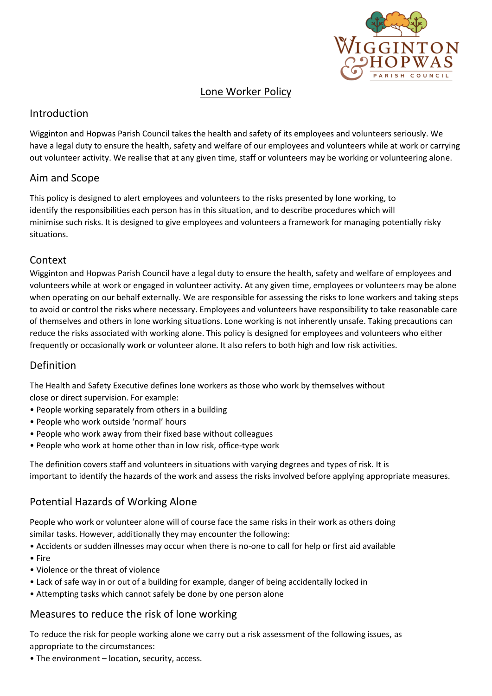

## Lone Worker Policy

### Introduction

Wigginton and Hopwas Parish Council takes the health and safety of its employees and volunteers seriously. We have a legal duty to ensure the health, safety and welfare of our employees and volunteers while at work or carrying out volunteer activity. We realise that at any given time, staff or volunteers may be working or volunteering alone.

## Aim and Scope

This policy is designed to alert employees and volunteers to the risks presented by lone working, to identify the responsibilities each person has in this situation, and to describe procedures which will minimise such risks. It is designed to give employees and volunteers a framework for managing potentially risky situations.

# Context

Wigginton and Hopwas Parish Council have a legal duty to ensure the health, safety and welfare of employees and volunteers while at work or engaged in volunteer activity. At any given time, employees or volunteers may be alone when operating on our behalf externally. We are responsible for assessing the risks to lone workers and taking steps to avoid or control the risks where necessary. Employees and volunteers have responsibility to take reasonable care of themselves and others in lone working situations. Lone working is not inherently unsafe. Taking precautions can reduce the risks associated with working alone. This policy is designed for employees and volunteers who either frequently or occasionally work or volunteer alone. It also refers to both high and low risk activities.

## Definition

The Health and Safety Executive defines lone workers as those who work by themselves without

close or direct supervision. For example:

- People working separately from others in a building
- People who work outside 'normal' hours
- People who work away from their fixed base without colleagues
- People who work at home other than in low risk, office-type work

The definition covers staff and volunteers in situations with varying degrees and types of risk. It is important to identify the hazards of the work and assess the risks involved before applying appropriate measures.

# Potential Hazards of Working Alone

People who work or volunteer alone will of course face the same risks in their work as others doing similar tasks. However, additionally they may encounter the following:

• Accidents or sudden illnesses may occur when there is no-one to call for help or first aid available

- Fire
- Violence or the threat of violence
- Lack of safe way in or out of a building for example, danger of being accidentally locked in
- Attempting tasks which cannot safely be done by one person alone

## Measures to reduce the risk of lone working

To reduce the risk for people working alone we carry out a risk assessment of the following issues, as appropriate to the circumstances:

• The environment – location, security, access.